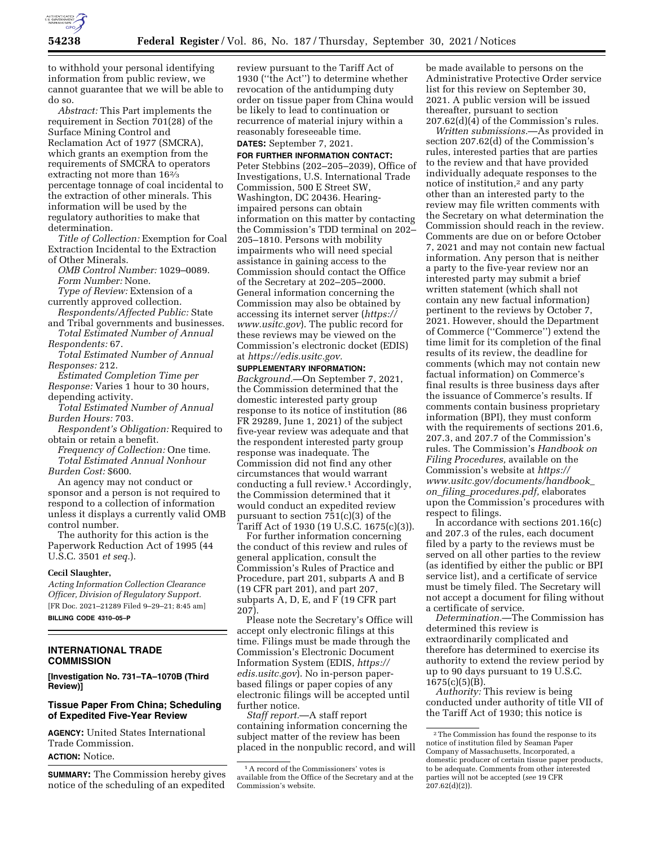

to withhold your personal identifying information from public review, we cannot guarantee that we will be able to do so.

*Abstract:* This Part implements the requirement in Section 701(28) of the Surface Mining Control and Reclamation Act of 1977 (SMCRA), which grants an exemption from the requirements of SMCRA to operators extracting not more than 162⁄3 percentage tonnage of coal incidental to the extraction of other minerals. This information will be used by the regulatory authorities to make that determination.

*Title of Collection:* Exemption for Coal Extraction Incidental to the Extraction of Other Minerals.

*OMB Control Number:* 1029–0089. *Form Number:* None.

*Type of Review:* Extension of a currently approved collection.

*Respondents/Affected Public:* State and Tribal governments and businesses.

*Total Estimated Number of Annual Respondents:* 67.

*Total Estimated Number of Annual Responses:* 212.

*Estimated Completion Time per Response:* Varies 1 hour to 30 hours, depending activity.

*Total Estimated Number of Annual Burden Hours:* 703.

*Respondent's Obligation:* Required to obtain or retain a benefit.

*Frequency of Collection:* One time. *Total Estimated Annual Nonhour Burden Cost:* \$600.

An agency may not conduct or sponsor and a person is not required to respond to a collection of information unless it displays a currently valid OMB control number.

The authority for this action is the Paperwork Reduction Act of 1995 (44 U.S.C. 3501 *et seq.*).

### **Cecil Slaughter,**

*Acting Information Collection Clearance Officer, Division of Regulatory Support.*  [FR Doc. 2021–21289 Filed 9–29–21; 8:45 am] **BILLING CODE 4310–05–P** 

### **INTERNATIONAL TRADE COMMISSION**

**[Investigation No. 731–TA–1070B (Third Review)]** 

# **Tissue Paper From China; Scheduling of Expedited Five-Year Review**

**AGENCY:** United States International Trade Commission. **ACTION:** Notice.

**SUMMARY:** The Commission hereby gives notice of the scheduling of an expedited

review pursuant to the Tariff Act of 1930 (''the Act'') to determine whether revocation of the antidumping duty order on tissue paper from China would be likely to lead to continuation or recurrence of material injury within a reasonably foreseeable time. **DATES:** September 7, 2021.

## **FOR FURTHER INFORMATION CONTACT:**

Peter Stebbins (202–205–2039), Office of Investigations, U.S. International Trade Commission, 500 E Street SW, Washington, DC 20436. Hearingimpaired persons can obtain information on this matter by contacting the Commission's TDD terminal on 202– 205–1810. Persons with mobility impairments who will need special assistance in gaining access to the Commission should contact the Office of the Secretary at 202–205–2000. General information concerning the Commission may also be obtained by accessing its internet server (*https:// www.usitc.gov*). The public record for these reviews may be viewed on the Commission's electronic docket (EDIS) at *https://edis.usitc.gov.* 

**SUPPLEMENTARY INFORMATION:**  *Background.*—On September 7, 2021, the Commission determined that the domestic interested party group response to its notice of institution (86 FR 29289, June 1, 2021) of the subject five-year review was adequate and that the respondent interested party group response was inadequate. The Commission did not find any other circumstances that would warrant conducting a full review.1 Accordingly, the Commission determined that it would conduct an expedited review pursuant to section 751(c)(3) of the Tariff Act of 1930 (19 U.S.C. 1675(c)(3)).

For further information concerning the conduct of this review and rules of general application, consult the Commission's Rules of Practice and Procedure, part 201, subparts A and B (19 CFR part 201), and part 207, subparts A, D, E, and F (19 CFR part 207).

Please note the Secretary's Office will accept only electronic filings at this time. Filings must be made through the Commission's Electronic Document Information System (EDIS, *https:// edis.usitc.gov*). No in-person paperbased filings or paper copies of any electronic filings will be accepted until further notice.

*Staff report.*—A staff report containing information concerning the subject matter of the review has been placed in the nonpublic record, and will be made available to persons on the Administrative Protective Order service list for this review on September 30, 2021. A public version will be issued thereafter, pursuant to section 207.62(d)(4) of the Commission's rules.

*Written submissions.*—As provided in section 207.62(d) of the Commission's rules, interested parties that are parties to the review and that have provided individually adequate responses to the notice of institution,2 and any party other than an interested party to the review may file written comments with the Secretary on what determination the Commission should reach in the review. Comments are due on or before October 7, 2021 and may not contain new factual information. Any person that is neither a party to the five-year review nor an interested party may submit a brief written statement (which shall not contain any new factual information) pertinent to the reviews by October 7, 2021. However, should the Department of Commerce (''Commerce'') extend the time limit for its completion of the final results of its review, the deadline for comments (which may not contain new factual information) on Commerce's final results is three business days after the issuance of Commerce's results. If comments contain business proprietary information (BPI), they must conform with the requirements of sections 201.6, 207.3, and 207.7 of the Commission's rules. The Commission's *Handbook on Filing Procedures,* available on the Commission's website at *https:// www.usitc.gov/documents/handbook*\_ *on*\_*filing*\_*procedures.pdf,* elaborates upon the Commission's procedures with respect to filings.

In accordance with sections 201.16(c) and 207.3 of the rules, each document filed by a party to the reviews must be served on all other parties to the review (as identified by either the public or BPI service list), and a certificate of service must be timely filed. The Secretary will not accept a document for filing without a certificate of service.

*Determination.*—The Commission has determined this review is extraordinarily complicated and therefore has determined to exercise its authority to extend the review period by up to 90 days pursuant to 19 U.S.C. 1675(c)(5)(B).

*Authority:* This review is being conducted under authority of title VII of the Tariff Act of 1930; this notice is

<sup>1</sup>A record of the Commissioners' votes is available from the Office of the Secretary and at the Commission's website.

<sup>2</sup>The Commission has found the response to its notice of institution filed by Seaman Paper Company of Massachusetts, Incorporated, a domestic producer of certain tissue paper products, to be adequate. Comments from other interested parties will not be accepted (*see* 19 CFR  $207.62(d)(2)$ ).